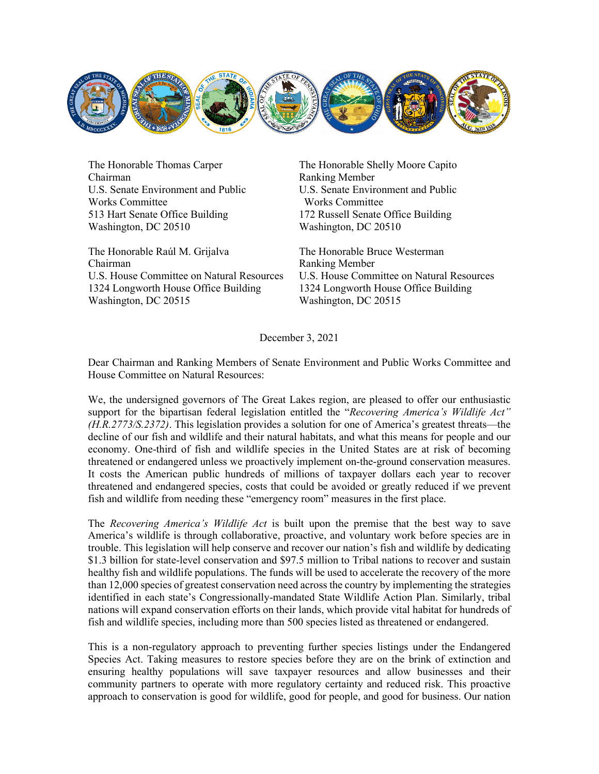

The Honorable Thomas Carper Chairman U.S. Senate Environment and Public Works Committee 513 Hart Senate Office Building Washington, DC 20510

The Honorable Raúl M. Grijalva Chairman U.S. House Committee on Natural Resources 1324 Longworth House Office Building Washington, DC 20515

The Honorable Shelly Moore Capito Ranking Member U.S. Senate Environment and Public Works Committee 172 Russell Senate Office Building Washington, DC 20510

The Honorable Bruce Westerman Ranking Member U.S. House Committee on Natural Resources 1324 Longworth House Office Building Washington, DC 20515

December 3, 2021

Dear Chairman and Ranking Members of Senate Environment and Public Works Committee and House Committee on Natural Resources:

We, the undersigned governors of The Great Lakes region, are pleased to offer our enthusiastic support for the bipartisan federal legislation entitled the "*Recovering America's Wildlife Act" (H.R.2773/S.2372)*. This legislation provides a solution for one of America's greatest threats—the decline of our fish and wildlife and their natural habitats, and what this means for people and our economy. One-third of fish and wildlife species in the United States are at risk of becoming threatened or endangered unless we proactively implement on-the-ground conservation measures. It costs the American public hundreds of millions of taxpayer dollars each year to recover threatened and endangered species, costs that could be avoided or greatly reduced if we prevent fish and wildlife from needing these "emergency room" measures in the first place.

The *Recovering America's Wildlife Act* is built upon the premise that the best way to save America's wildlife is through collaborative, proactive, and voluntary work before species are in trouble. This legislation will help conserve and recover our nation's fish and wildlife by dedicating \$1.3 billion for state-level conservation and \$97.5 million to Tribal nations to recover and sustain healthy fish and wildlife populations. The funds will be used to accelerate the recovery of the more than 12,000 species of greatest conservation need across the country by implementing the strategies identified in each state's Congressionally-mandated State Wildlife Action Plan. Similarly, tribal nations will expand conservation efforts on their lands, which provide vital habitat for hundreds of fish and wildlife species, including more than 500 species listed as threatened or endangered.

This is a non-regulatory approach to preventing further species listings under the Endangered Species Act. Taking measures to restore species before they are on the brink of extinction and ensuring healthy populations will save taxpayer resources and allow businesses and their community partners to operate with more regulatory certainty and reduced risk. This proactive approach to conservation is good for wildlife, good for people, and good for business. Our nation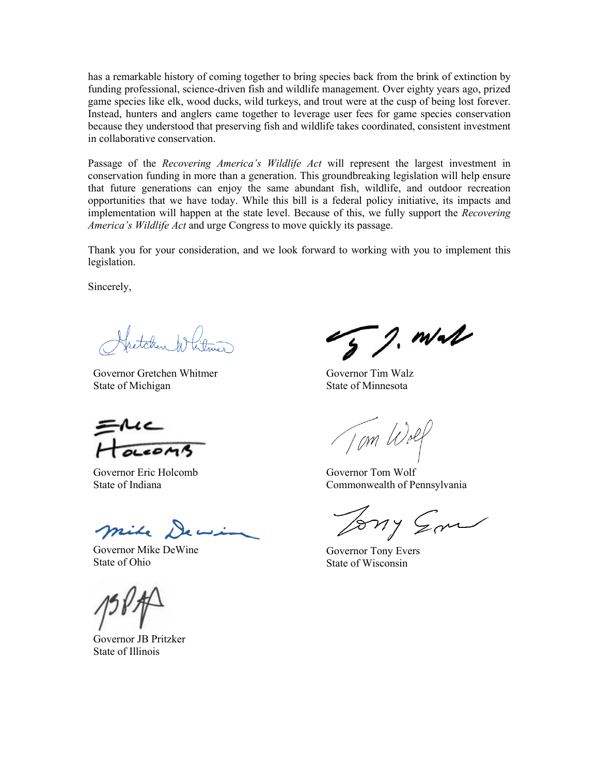has a remarkable history of coming together to bring species back from the brink of extinction by funding professional, science-driven fish and wildlife management. Over eighty years ago, prized game species like elk, wood ducks, wild turkeys, and trout were at the cusp of being lost forever. Instead, hunters and anglers came together to leverage user fees for game species conservation because they understood that preserving fish and wildlife takes coordinated, consistent investment in collaborative conservation.

Passage of the *Recovering America's Wildlife Act* will represent the largest investment in conservation funding in more than a generation. This groundbreaking legislation will help ensure that future generations can enjoy the same abundant fish, wildlife, and outdoor recreation opportunities that we have today. While this bill is a federal policy initiative, its impacts and implementation will happen at the state level. Because of this, we fully support the *Recovering America's Wildlife Act* and urge Congress to move quickly its passage.

Thank you for your consideration, and we look forward to working with you to implement this legislation.

Sincerely,

etaher ht

Governor Gretchen Whitmer State of Michigan

reams

Governor Eric Holcomb State of Indiana

mile Dewin

Governor Mike DeWine State of Ohio

Governor JB Pritzker State of Illinois

 $52. m\lambda$ 

Governor Tim Walz State of Minnesota

Tom Wolf

Governor Tom Wolf Commonwealth of Pennsylvania

Tony Son

Governor Tony Evers State of Wisconsin